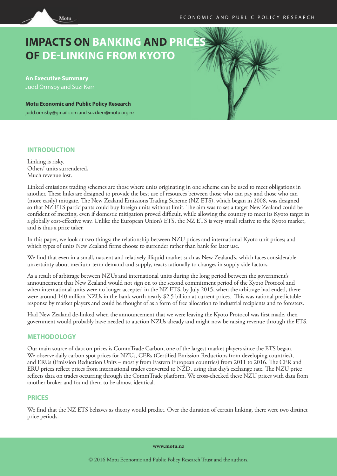# **IMPACTS ON BANKING AND PRICES OF DE-LINKING FROM KYOTO**

**An Executive Summary** Judd Ormsby and Suzi Kerr

Motu

**Motu Economic and Public Policy Research** judd.ormsby@gmail.com and suzi.kerr@motu.org.nz

## **INTRODUCTION**

Linking is risky. Others<sup>'</sup> units surrendered, Much revenue lost.

Linked emissions trading schemes are those where units originating in one scheme can be used to meet obligations in another. These links are designed to provide the best use of resources between those who can pay and those who can (more easily) mitigate. The New Zealand Emissions Trading Scheme (NZ ETS), which began in 2008, was designed so that NZ ETS participants could buy foreign units without limit. The aim was to set a target New Zealand could be confident of meeting, even if domestic mitigation proved difficult, while allowing the country to meet its Kyoto target in a globally cost-effective way. Unlike the European Union's ETS, the NZ ETS is very small relative to the Kyoto market, and is thus a price taker.

In this paper, we look at two things: the relationship between NZU prices and international Kyoto unit prices; and which types of units New Zealand firms choose to surrender rather than bank for later use.

We find that even in a small, nascent and relatively illiquid market such as New Zealand's, which faces considerable uncertainty about medium-term demand and supply, reacts rationally to changes in supply-side factors.

As a result of arbitrage between NZUs and international units during the long period between the government's announcement that New Zealand would not sign on to the second commitment period of the Kyoto Protocol and when international units were no longer accepted in the NZ ETS, by July 2015, when the arbitrage had ended, there were around 140 million NZUs in the bank worth nearly \$2.5 billion at current prices. This was rational predictable response by market players and could be thought of as a form of free allocation to industrial recipients and to foresters.

Had New Zealand de-linked when the announcement that we were leaving the Kyoto Protocol was first made, then government would probably have needed to auction NZUs already and might now be raising revenue through the ETS.

# **METHODOLOGY**

Our main source of data on prices is CommTrade Carbon, one of the largest market players since the ETS began. We observe daily carbon spot prices for NZUs, CERs (Certified Emission Reductions from developing countries), and ERUs (Emission Reduction Units – mostly from Eastern European countries) from 2011 to 2016. The CER and ERU prices reflect prices from international trades converted to NZD, using that day's exchange rate. The NZU price reflects data on trades occurring through the CommTrade platform. We cross-checked these NZU prices with data from another broker and found them to be almost identical.

## **PRICES**

We find that the NZ ETS behaves as theory would predict. Over the duration of certain linking, there were two distinct price periods.

**www.motu.nz**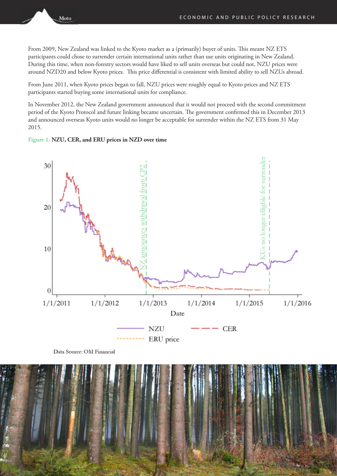From 2009, New Zealand was linked to the Kyoto market as a (primarily) buyer of units. This meant NZ ETS participants could chose to surrender certain international units rather than use units originating in New Zealand. During this time, when non-forestry sectors would have liked to sell units overseas but could not, NZU prices were around NZD20 and below Kyoto prices. This price differential is consistent with limited ability to sell NZUs abroad.

From June 2011, when Kyoto prices began to fall, NZU prices were roughly equal to Kyoto prices and NZ ETS participants started buying some international units for compliance.

In November 2012, the New Zealand government announced that it would not proceed with the second commitment period of the Kyoto Protocol and future linking became uncertain. The government confirmed this in December 2013 and announced overseas Kyoto units would no longer be acceptable for surrender within the NZ ETS from 31 May 2015.

#### **Figure 1: NZU, CER, and ERU prices in NZD over time**

Motu



Data Source: OM Financial

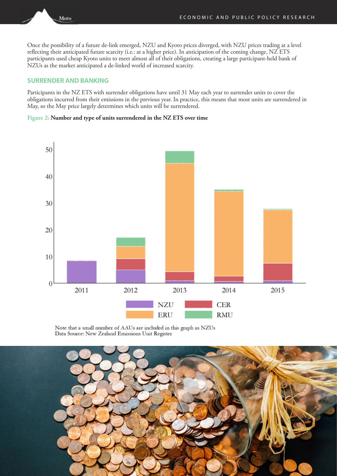Once the possibility of a future de-link emerged, NZU and Kyoto prices diverged, with NZU prices trading at a level reflecting their anticipated future scarcity (i.e.: at a higher price). In anticipation of the coming change, NZ ETS participants used cheap Kyoto units to meet almost all of their obligations, creating a large participant-held bank of NZUs as the market anticipated a de-linked world of increased scarcity.

## **SURRENDER AND BANKING**

Motu

Participants in the NZ ETS with surrender obligations have until 31 May each year to surrender units to cover the obligations incurred from their emissions in the previous year. In practice, this means that most units are surrendered in May, so the May price largely determines which units will be surrendered.

#### **Figure 2: Number and type of units surrendered in the NZ ETS over time**



Note that a small number of AAUs are included in this graph as NZUs Data Source: New Zealand Emissions Unit Register